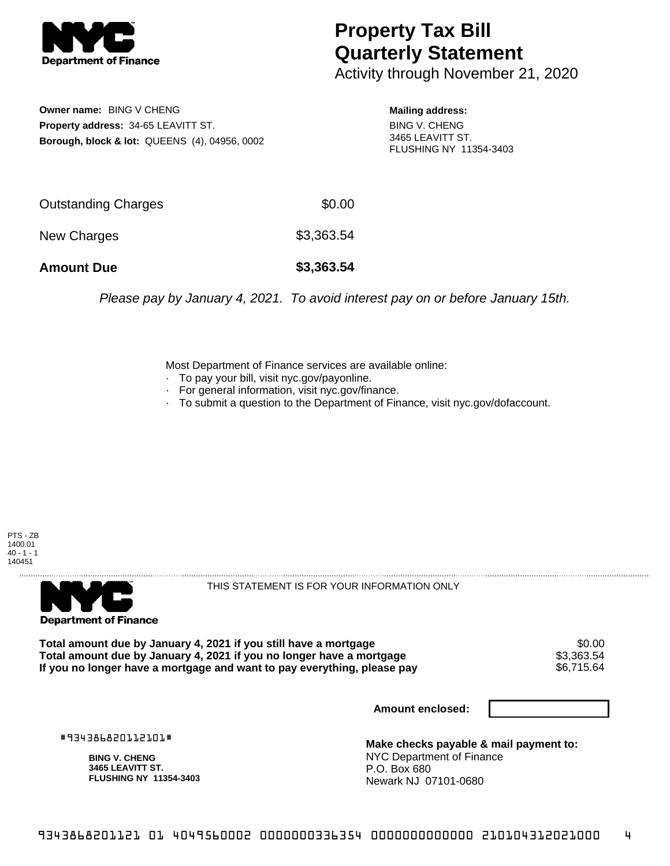

## **Property Tax Bill Quarterly Statement**

Activity through November 21, 2020

**Owner name:** BING V CHENG **Property address:** 34-65 LEAVITT ST. **Borough, block & lot:** QUEENS (4), 04956, 0002

**Mailing address:** BING V. CHENG 3465 LEAVITT ST. FLUSHING NY 11354-3403

| <b>Amount Due</b>          | \$3,363.54 |
|----------------------------|------------|
| New Charges                | \$3,363.54 |
| <b>Outstanding Charges</b> | \$0.00     |

Please pay by January 4, 2021. To avoid interest pay on or before January 15th.

Most Department of Finance services are available online:

- · To pay your bill, visit nyc.gov/payonline.
- For general information, visit nyc.gov/finance.
- · To submit a question to the Department of Finance, visit nyc.gov/dofaccount.

PTS - ZB 1400.01  $40 - 1 - 1$ 140451



THIS STATEMENT IS FOR YOUR INFORMATION ONLY

Total amount due by January 4, 2021 if you still have a mortgage \$0.00<br>Total amount due by January 4, 2021 if you no longer have a mortgage \$3.363.54 **Total amount due by January 4, 2021 if you no longer have a mortgage**  $$3,363.54$$ **<br>If you no longer have a mortgage and want to pay everything, please pay** If you no longer have a mortgage and want to pay everything, please pay

**Amount enclosed:**

#934386820112101#

**BING V. CHENG 3465 LEAVITT ST. FLUSHING NY 11354-3403**

**Make checks payable & mail payment to:** NYC Department of Finance P.O. Box 680 Newark NJ 07101-0680